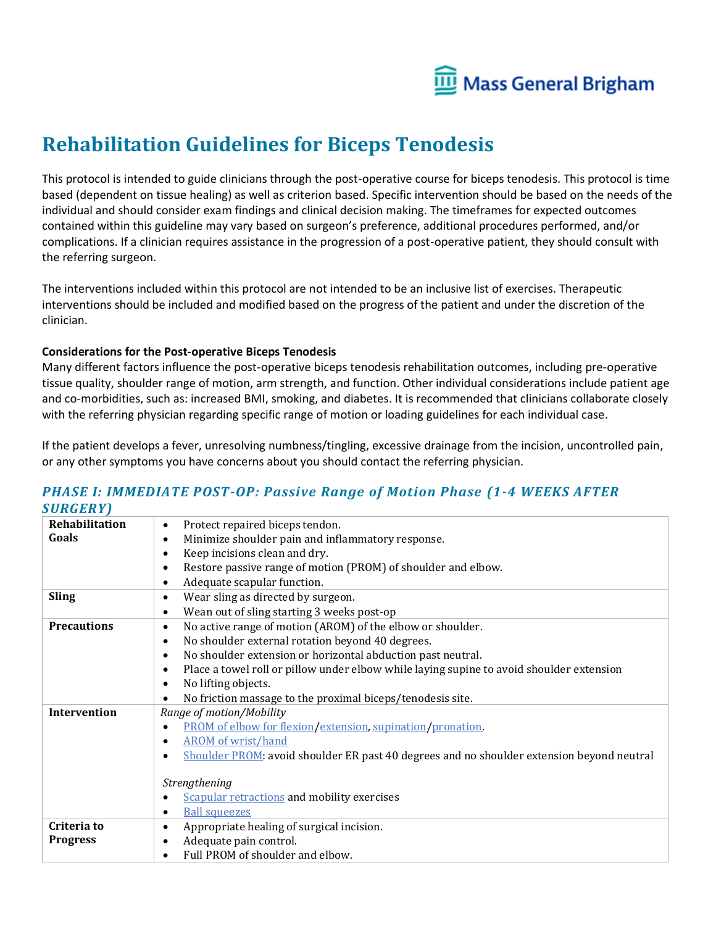

# **Rehabilitation Guidelines for Biceps Tenodesis**

This protocol is intended to guide clinicians through the post-operative course for biceps tenodesis. This protocol is time based (dependent on tissue healing) as well as criterion based. Specific intervention should be based on the needs of the individual and should consider exam findings and clinical decision making. The timeframes for expected outcomes contained within this guideline may vary based on surgeon's preference, additional procedures performed, and/or complications. If a clinician requires assistance in the progression of a post-operative patient, they should consult with the referring surgeon.

The interventions included within this protocol are not intended to be an inclusive list of exercises. Therapeutic interventions should be included and modified based on the progress of the patient and under the discretion of the clinician.

#### **Considerations for the Post-operative Biceps Tenodesis**

Many different factors influence the post-operative biceps tenodesis rehabilitation outcomes, including pre-operative tissue quality, shoulder range of motion, arm strength, and function. Other individual considerations include patient age and co-morbidities, such as: increased BMI, smoking, and diabetes. It is recommended that clinicians collaborate closely with the referring physician regarding specific range of motion or loading guidelines for each individual case.

If the patient develops a fever, unresolving numbness/tingling, excessive drainage from the incision, uncontrolled pain, or any other symptoms you have concerns about you should contact the referring physician.

#### *PHASE I: IMMEDIATE POST-OP: Passive Range of Motion Phase (1-4 WEEKS AFTER SURGERY)*

| ,,,,,,,,,,         |                                                                                           |
|--------------------|-------------------------------------------------------------------------------------------|
| Rehabilitation     | Protect repaired biceps tendon.                                                           |
| Goals              | Minimize shoulder pain and inflammatory response.                                         |
|                    | Keep incisions clean and dry.                                                             |
|                    | Restore passive range of motion (PROM) of shoulder and elbow.                             |
|                    | Adequate scapular function.                                                               |
| <b>Sling</b>       | Wear sling as directed by surgeon.                                                        |
|                    | Wean out of sling starting 3 weeks post-op                                                |
| <b>Precautions</b> | No active range of motion (AROM) of the elbow or shoulder.                                |
|                    | No shoulder external rotation beyond 40 degrees.                                          |
|                    | No shoulder extension or horizontal abduction past neutral.                               |
|                    | Place a towel roll or pillow under elbow while laying supine to avoid shoulder extension  |
|                    | No lifting objects.                                                                       |
|                    | No friction massage to the proximal biceps/tenodesis site.                                |
| Intervention       | Range of motion/Mobility                                                                  |
|                    | PROM of elbow for flexion/extension, supination/pronation.                                |
|                    | <b>AROM</b> of wrist/hand                                                                 |
|                    | Shoulder PROM: avoid shoulder ER past 40 degrees and no shoulder extension beyond neutral |
|                    | Strengthening                                                                             |
|                    | <b>Scapular retractions and mobility exercises</b>                                        |
|                    | <b>Ball squeezes</b>                                                                      |
| Criteria to        | Appropriate healing of surgical incision.                                                 |
| <b>Progress</b>    | Adequate pain control.                                                                    |
|                    | Full PROM of shoulder and elbow.                                                          |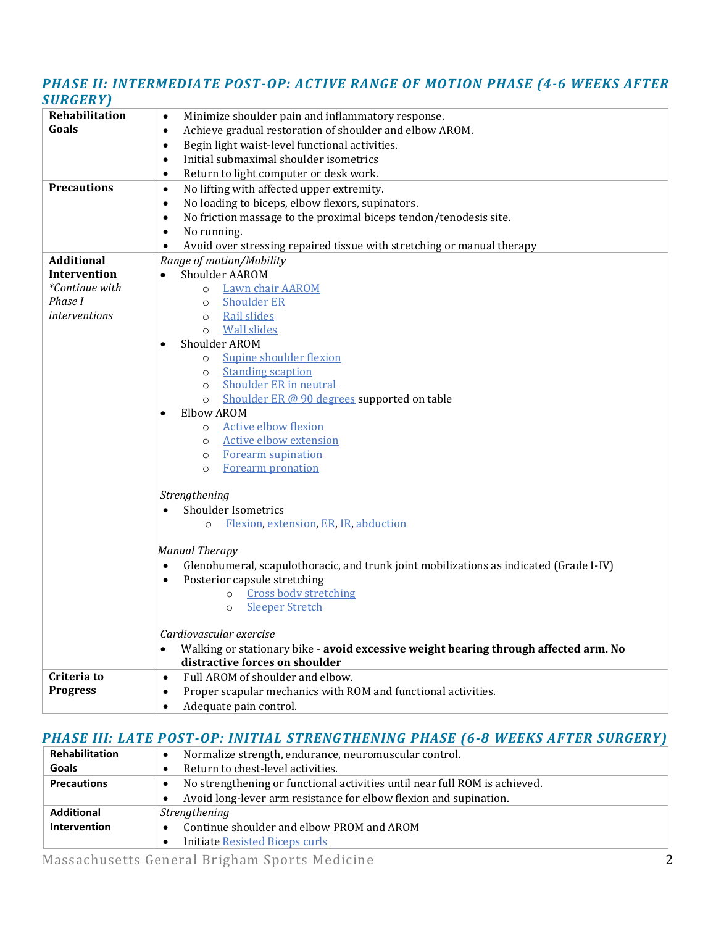#### *PHASE II: INTERMEDIATE POST-OP: ACTIVE RANGE OF MOTION PHASE (4-6 WEEKS AFTER SURGERY)*

| SURGERY            |                                                                                                   |
|--------------------|---------------------------------------------------------------------------------------------------|
| Rehabilitation     | Minimize shoulder pain and inflammatory response.<br>$\bullet$                                    |
| Goals              | Achieve gradual restoration of shoulder and elbow AROM.<br>$\bullet$                              |
|                    | Begin light waist-level functional activities.<br>$\bullet$                                       |
|                    | Initial submaximal shoulder isometrics<br>$\bullet$                                               |
|                    | Return to light computer or desk work.<br>$\bullet$                                               |
| <b>Precautions</b> | No lifting with affected upper extremity.<br>$\bullet$                                            |
|                    | No loading to biceps, elbow flexors, supinators.<br>$\bullet$                                     |
|                    | No friction massage to the proximal biceps tendon/tenodesis site.<br>٠                            |
|                    | No running.                                                                                       |
|                    | Avoid over stressing repaired tissue with stretching or manual therapy                            |
| <b>Additional</b>  | Range of motion/Mobility                                                                          |
| Intervention       | Shoulder AAROM                                                                                    |
| *Continue with     | Lawn chair AAROM<br>$\circ$                                                                       |
| Phase I            | <b>Shoulder ER</b><br>$\circ$                                                                     |
| interventions      | Rail slides<br>$\circ$                                                                            |
|                    | <b>Wall slides</b><br>$\circ$                                                                     |
|                    | Shoulder AROM<br>$\bullet$                                                                        |
|                    | Supine shoulder flexion<br>$\circ$                                                                |
|                    | <b>Standing scaption</b><br>$\circ$                                                               |
|                    | <b>Shoulder ER in neutral</b><br>$\circ$                                                          |
|                    | Shoulder ER @ 90 degrees supported on table<br>$\circ$                                            |
|                    | Elbow AROM<br>$\bullet$                                                                           |
|                    | <b>Active elbow flexion</b><br>$\circ$                                                            |
|                    | <b>Active elbow extension</b><br>$\circ$                                                          |
|                    | <b>Forearm supination</b><br>$\circ$                                                              |
|                    | Forearm pronation<br>$\circ$                                                                      |
|                    |                                                                                                   |
|                    | Strengthening                                                                                     |
|                    | Shoulder Isometrics                                                                               |
|                    | Flexion, extension, ER, IR, abduction<br>$\circ$                                                  |
|                    |                                                                                                   |
|                    | <b>Manual Therapy</b>                                                                             |
|                    | Glenohumeral, scapulothoracic, and trunk joint mobilizations as indicated (Grade I-IV)            |
|                    | Posterior capsule stretching<br>$\bullet$                                                         |
|                    | <b>Cross body stretching</b><br>$\circ$                                                           |
|                    | <b>Sleeper Stretch</b><br>$\circ$                                                                 |
|                    |                                                                                                   |
|                    | Cardiovascular exercise                                                                           |
|                    | Walking or stationary bike - avoid excessive weight bearing through affected arm. No<br>$\bullet$ |
|                    | distractive forces on shoulder                                                                    |
| Criteria to        | Full AROM of shoulder and elbow.<br>$\bullet$                                                     |
| <b>Progress</b>    | Proper scapular mechanics with ROM and functional activities.<br>$\bullet$                        |
|                    | Adequate pain control.<br>٠                                                                       |

### *PHASE III: LATE POST-OP: INITIAL STRENGTHENING PHASE (6-8 WEEKS AFTER SURGERY)*

| Rehabilitation     | Normalize strength, endurance, neuromuscular control.<br>$\bullet$         |
|--------------------|----------------------------------------------------------------------------|
| Goals              | Return to chest-level activities.                                          |
| <b>Precautions</b> | No strengthening or functional activities until near full ROM is achieved. |
|                    | Avoid long-lever arm resistance for elbow flexion and supination.          |
| <b>Additional</b>  | Strengthening                                                              |
| Intervention       | Continue shoulder and elbow PROM and AROM                                  |
|                    | <b>Initiate Resisted Biceps curls</b>                                      |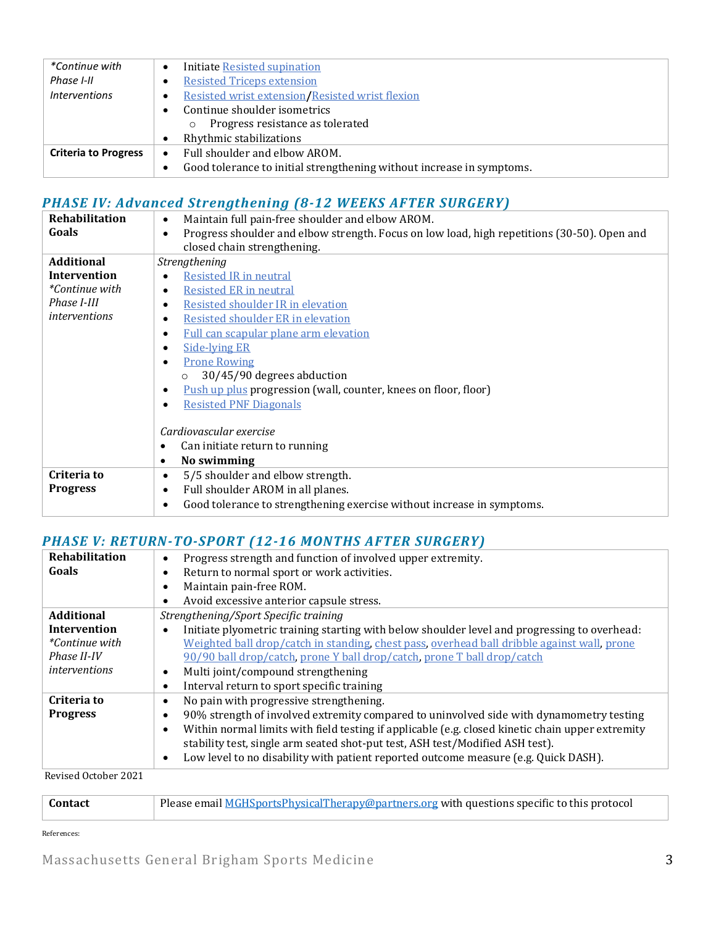| *Continue with              | Initiate Resisted supination                                          |
|-----------------------------|-----------------------------------------------------------------------|
| Phase I-II                  | <b>Resisted Triceps extension</b>                                     |
| <i>Interventions</i>        | Resisted wrist extension/Resisted wrist flexion                       |
|                             | Continue shoulder isometrics                                          |
|                             | Progress resistance as tolerated<br>$\circ$                           |
|                             | Rhythmic stabilizations                                               |
| <b>Criteria to Progress</b> | Full shoulder and elbow AROM.<br>$\bullet$                            |
|                             | Good tolerance to initial strengthening without increase in symptoms. |

## *PHASE IV: Advanced Strengthening (8-12 WEEKS AFTER SURGERY)*

| Rehabilitation        | Maintain full pain-free shoulder and elbow AROM.<br>$\bullet$                               |
|-----------------------|---------------------------------------------------------------------------------------------|
| Goals                 | Progress shoulder and elbow strength. Focus on low load, high repetitions (30-50). Open and |
|                       | closed chain strengthening.                                                                 |
| <b>Additional</b>     | Strengthening                                                                               |
| <b>Intervention</b>   | Resisted IR in neutral                                                                      |
| <i>*Continue with</i> | <b>Resisted ER in neutral</b>                                                               |
| Phase I-III           | Resisted shoulder IR in elevation                                                           |
| <i>interventions</i>  | Resisted shoulder ER in elevation                                                           |
|                       | Full can scapular plane arm elevation                                                       |
|                       | <b>Side-Iving ER</b>                                                                        |
|                       | <b>Prone Rowing</b>                                                                         |
|                       | 30/45/90 degrees abduction<br>$\circ$                                                       |
|                       | <u>Push up plus</u> progression (wall, counter, knees on floor, floor)                      |
|                       | <b>Resisted PNF Diagonals</b>                                                               |
|                       |                                                                                             |
|                       | Cardiovascular exercise                                                                     |
|                       | Can initiate return to running<br>٠                                                         |
|                       | No swimming<br>$\bullet$                                                                    |
| Criteria to           | 5/5 shoulder and elbow strength.<br>$\bullet$                                               |
| <b>Progress</b>       | Full shoulder AROM in all planes.                                                           |
|                       | Good tolerance to strengthening exercise without increase in symptoms.<br>$\bullet$         |
|                       |                                                                                             |

### *PHASE V: RETURN-TO-SPORT (12-16 MONTHS AFTER SURGERY)*

| <b>Rehabilitation</b> | Progress strength and function of involved upper extremity.                                      |
|-----------------------|--------------------------------------------------------------------------------------------------|
| Goals                 | Return to normal sport or work activities.                                                       |
|                       | Maintain pain-free ROM.                                                                          |
|                       | Avoid excessive anterior capsule stress.                                                         |
| <b>Additional</b>     | Strengthening/Sport Specific training                                                            |
| Intervention          | Initiate plyometric training starting with below shoulder level and progressing to overhead:     |
| <i>*Continue with</i> | Weighted ball drop/catch in standing, chest pass, overhead ball dribble against wall, prone      |
| Phase II-IV           | 90/90 ball drop/catch, prone Y ball drop/catch, prone T ball drop/catch                          |
| interventions         | Multi joint/compound strengthening                                                               |
|                       | Interval return to sport specific training                                                       |
| Criteria to           | No pain with progressive strengthening.                                                          |
| <b>Progress</b>       | 90% strength of involved extremity compared to uninvolved side with dynamometry testing          |
|                       | Within normal limits with field testing if applicable (e.g. closed kinetic chain upper extremity |
|                       | stability test, single arm seated shot-put test, ASH test/Modified ASH test).                    |
|                       | Low level to no disability with patient reported outcome measure (e.g. Quick DASH).              |
| Dovised October 2021  |                                                                                                  |

Revised October 2021

| Please email MGHSportsPhysicalTherapy@partners.org with questions specific to this protocol<br><b>Contact</b> |
|---------------------------------------------------------------------------------------------------------------|
|---------------------------------------------------------------------------------------------------------------|

References: